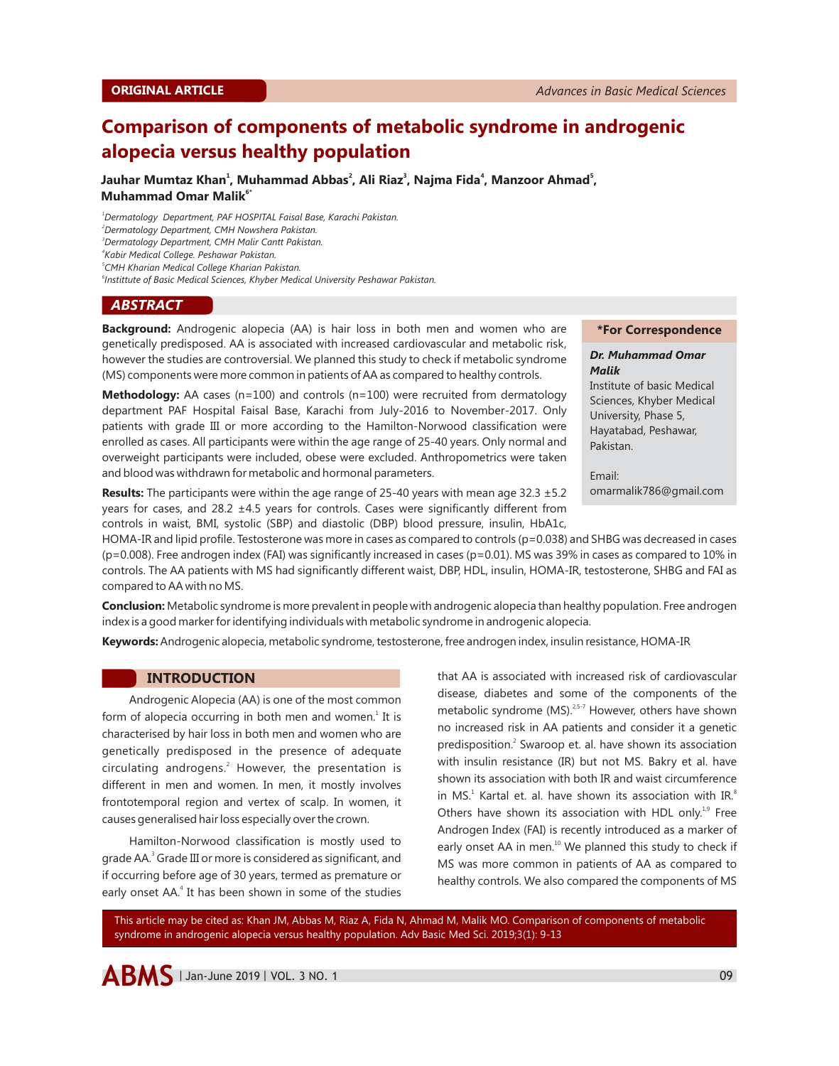# **Comparison of components of metabolic syndrome in androgenic alopecia versus healthy population**

**1 2 3 4 5 Jauhar Mumtaz Khan , Muhammad Abbas , Ali Riaz , Najma Fida , Manzoor Ahmad , 6\* Muhammad Omar Malik**

*<sup>1</sup>Dermatology Department, PAF HOSPITAL Faisal Base, Karachi Pakistan.*

*<sup>2</sup>Dermatology Department, CMH Nowshera Pakistan.*

*<sup>3</sup>Dermatology Department, CMH Malir Cantt Pakistan.*

*4 Kabir Medical College. Peshawar Pakistan.*

*5 CMH Kharian Medical College Kharian Pakistan.*

*6 Instittute of Basic Medical Sciences, Khyber Medical University Peshawar Pakistan.*

#### *ABSTRACT*

**Background:** Androgenic alopecia (AA) is hair loss in both men and women who are genetically predisposed. AA is associated with increased cardiovascular and metabolic risk, however the studies are controversial. We planned this study to check if metabolic syndrome (MS) components were more common in patients of AA as compared to healthy controls.

**Methodology:** AA cases (n=100) and controls (n=100) were recruited from dermatology department PAF Hospital Faisal Base, Karachi from July-2016 to November-2017. Only patients with grade III or more according to the Hamilton-Norwood classification were enrolled as cases. All participants were within the age range of 25-40 years. Only normal and overweight participants were included, obese were excluded. Anthropometrics were taken and blood was withdrawn for metabolic and hormonal parameters.

**Results:** The participants were within the age range of 25-40 years with mean age 32.3 ±5.2 years for cases, and 28.2  $\pm$ 4.5 years for controls. Cases were significantly different from controls in waist, BMI, systolic (SBP) and diastolic (DBP) blood pressure, insulin, HbA1c,

#### **\*For Correspondence**

#### *Dr. Muhammad Omar Malik*

Institute of basic Medical Sciences, Khyber Medical University, Phase 5, Hayatabad, Peshawar, Pakistan.

Email: omarmalik786@gmail.com

HOMA-IR and lipid profile. Testosterone was more in cases as compared to controls (p=0.038) and SHBG was decreased in cases (p=0.008). Free androgen index (FAI) was significantly increased in cases (p=0.01). MS was 39% in cases as compared to 10% in controls. The AA patients with MS had significantly different waist, DBP, HDL, insulin, HOMA-IR, testosterone, SHBG and FAI as compared to AA with no MS.

**Conclusion:** Metabolic syndrome is more prevalent in people with androgenic alopecia than healthy population. Free androgen index is a good marker for identifying individuals with metabolic syndrome in androgenic alopecia.

**Keywords:**Androgenic alopecia, metabolic syndrome, testosterone, free androgen index, insulin resistance, HOMA-IR

# **INTRODUCTION**

Androgenic Alopecia (AA) is one of the most common form of alopecia occurring in both men and women.<sup>1</sup> It is characterised by hair loss in both men and women who are genetically predisposed in the presence of adequate circulating androgens.<sup>2</sup> However, the presentation is different in men and women. In men, it mostly involves frontotemporal region and vertex of scalp. In women, it causes generalised hair loss especially over the crown.

Hamilton-Norwood classification is mostly used to grade AA.<sup>3</sup> Grade III or more is considered as significant, and if occurring before age of 30 years, termed as premature or early onset AA.<sup>4</sup> It has been shown in some of the studies that AA is associated with increased risk of cardiovascular disease, diabetes and some of the components of the metabolic syndrome  $(MS).^{2.5-7}$  However, others have shown no increased risk in AA patients and consider it a genetic predisposition.<sup>2</sup> Swaroop et. al. have shown its association with insulin resistance (IR) but not MS. Bakry et al. have shown its association with both IR and waist circumference in MS. $^1$  Kartal et. al. have shown its association with IR. $^8$ Others have shown its association with HDL only. $19$  Free Androgen Index (FAI) is recently introduced as a marker of early onset AA in men. $^{10}$  We planned this study to check if MS was more common in patients of AA as compared to healthy controls. We also compared the components of MS

This article may be cited as: Khan JM, Abbas M, Riaz A, Fida N, Ahmad M, Malik MO. Comparison of components of metabolic syndrome in androgenic alopecia versus healthy population. Adv Basic Med Sci. 2019;3(1): 9-13

 $\triangle$  **BMS** | Jan-June 2019 | VOL. 3 NO. 1 09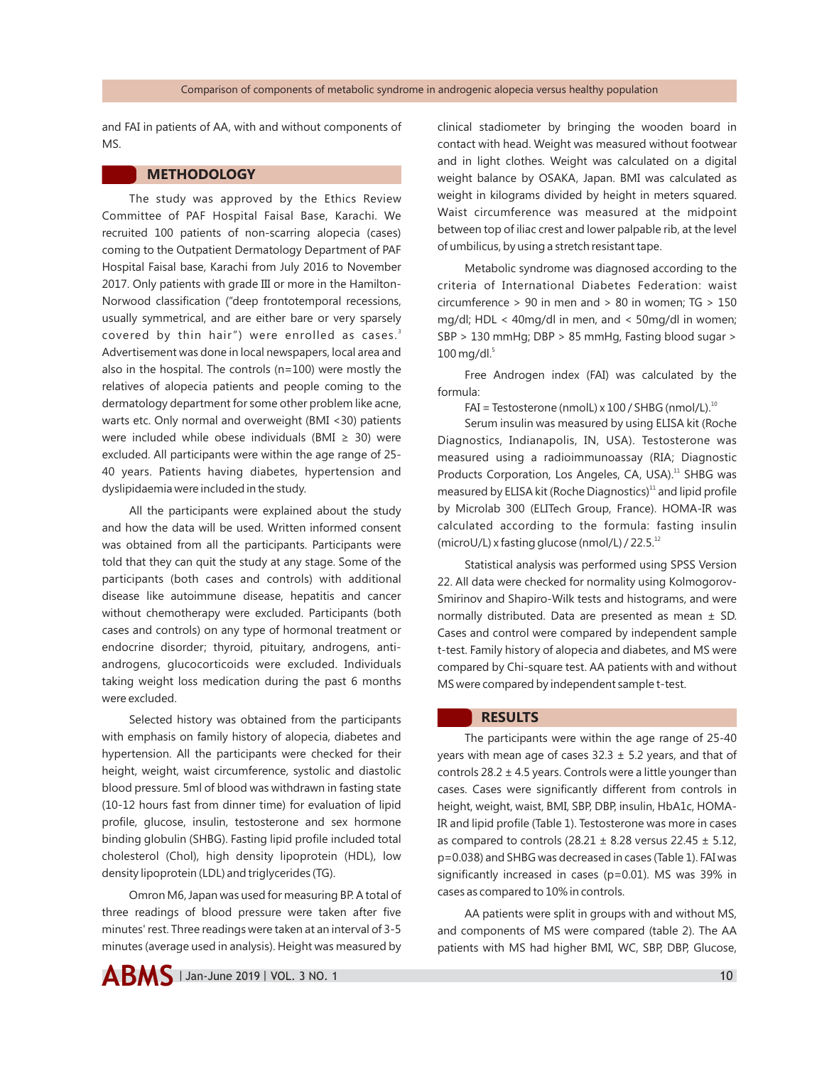and FAI in patients of AA, with and without components of MS.

# **METHODOLOGY**

The study was approved by the Ethics Review Committee of PAF Hospital Faisal Base, Karachi. We recruited 100 patients of non-scarring alopecia (cases) coming to the Outpatient Dermatology Department of PAF Hospital Faisal base, Karachi from July 2016 to November 2017. Only patients with grade III or more in the Hamilton-Norwood classification ("deep frontotemporal recessions, usually symmetrical, and are either bare or very sparsely covered by thin hair") were enrolled as cases.<sup>3</sup> Advertisement was done in local newspapers, local area and also in the hospital. The controls (n=100) were mostly the relatives of alopecia patients and people coming to the dermatology department for some other problem like acne, warts etc. Only normal and overweight (BMI <30) patients were included while obese individuals (BMI  $\geq$  30) were excluded. All participants were within the age range of 25- 40 years. Patients having diabetes, hypertension and dyslipidaemia were included in the study.

All the participants were explained about the study and how the data will be used. Written informed consent was obtained from all the participants. Participants were told that they can quit the study at any stage. Some of the participants (both cases and controls) with additional disease like autoimmune disease, hepatitis and cancer without chemotherapy were excluded. Participants (both cases and controls) on any type of hormonal treatment or endocrine disorder; thyroid, pituitary, androgens, antiandrogens, glucocorticoids were excluded. Individuals taking weight loss medication during the past 6 months were excluded.

Selected history was obtained from the participants with emphasis on family history of alopecia, diabetes and hypertension. All the participants were checked for their height, weight, waist circumference, systolic and diastolic blood pressure. 5ml of blood was withdrawn in fasting state (10-12 hours fast from dinner time) for evaluation of lipid profile, glucose, insulin, testosterone and sex hormone binding globulin (SHBG). Fasting lipid profile included total cholesterol (Chol), high density lipoprotein (HDL), low density lipoprotein (LDL) and triglycerides (TG).

Omron M6, Japan was used for measuring BP. A total of three readings of blood pressure were taken after five minutes' rest. Three readings were taken at an interval of 3-5 minutes (average used in analysis). Height was measured by clinical stadiometer by bringing the wooden board in contact with head. Weight was measured without footwear and in light clothes. Weight was calculated on a digital weight balance by OSAKA, Japan. BMI was calculated as weight in kilograms divided by height in meters squared. Waist circumference was measured at the midpoint between top of iliac crest and lower palpable rib, at the level of umbilicus, by using a stretch resistant tape.

Metabolic syndrome was diagnosed according to the criteria of International Diabetes Federation: waist circumference > 90 in men and > 80 in women; TG > 150 mg/dl; HDL < 40mg/dl in men, and < 50mg/dl in women; SBP > 130 mmHg; DBP > 85 mmHg, Fasting blood sugar >  $100$  mg/dl. $5$ 

Free Androgen index (FAI) was calculated by the formula:

 $FAI = Testosterone (nmolL) \times 100 / SHBG (nmol/L).$ <sup>10</sup>

Serum insulin was measured by using ELISA kit (Roche Diagnostics, Indianapolis, IN, USA). Testosterone was measured using a radioimmunoassay (RIA; Diagnostic Products Corporation, Los Angeles, CA, USA).<sup>11</sup> SHBG was measured by ELISA kit (Roche Diagnostics)<sup>11</sup> and lipid profile by Microlab 300 (ELITech Group, France). HOMA-IR was calculated according to the formula: fasting insulin (microU/L) x fasting glucose (nmol/L) / 22.5. $^{12}$ 

Statistical analysis was performed using SPSS Version 22. All data were checked for normality using Kolmogorov-Smirinov and Shapiro-Wilk tests and histograms, and were normally distributed. Data are presented as mean ± SD. Cases and control were compared by independent sample t-test. Family history of alopecia and diabetes, and MS were compared by Chi-square test. AA patients with and without MS were compared by independent sample t-test.

# **RESULTS**

The participants were within the age range of 25-40 years with mean age of cases  $32.3 \pm 5.2$  years, and that of controls  $28.2 \pm 4.5$  years. Controls were a little younger than cases. Cases were significantly different from controls in height, weight, waist, BMI, SBP, DBP, insulin, HbA1c, HOMA-IR and lipid profile (Table 1). Testosterone was more in cases as compared to controls (28.21  $\pm$  8.28 versus 22.45  $\pm$  5.12, p=0.038) and SHBG was decreased in cases (Table 1). FAI was significantly increased in cases (p=0.01). MS was 39% in cases as compared to 10% in controls.

AA patients were split in groups with and without MS, and components of MS were compared (table 2). The AA patients with MS had higher BMI, WC, SBP, DBP, Glucose,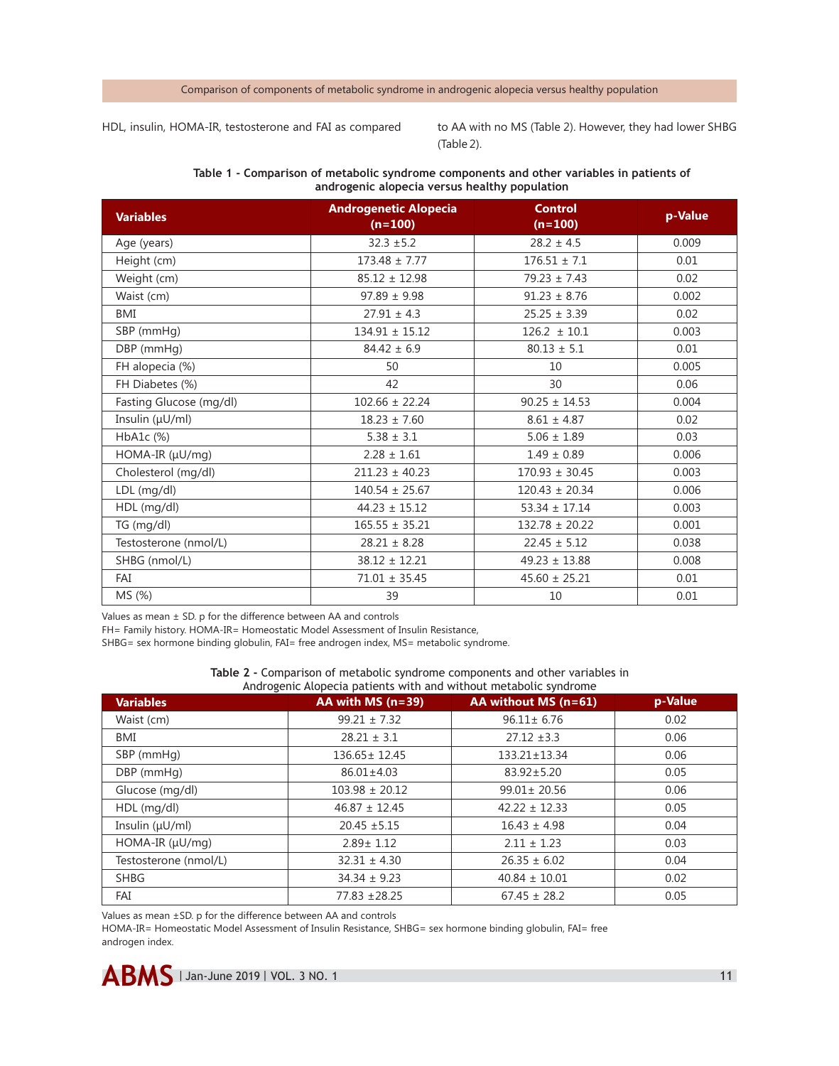#### Comparison of components of metabolic syndrome in androgenic alopecia versus healthy population

HDL, insulin, HOMA-IR, testosterone and FAI as compared

to AA with no MS (Table 2). However, they had lower SHBG (Table 2).

| <b>Variables</b>        | <b>Androgenetic Alopecia</b><br>$(n=100)$ | <b>Control</b><br>$(n=100)$ | p-Value |  |  |  |  |
|-------------------------|-------------------------------------------|-----------------------------|---------|--|--|--|--|
| Age (years)             | $32.3 \pm 5.2$                            | $28.2 \pm 4.5$              | 0.009   |  |  |  |  |
| Height (cm)             | $173.48 \pm 7.77$                         | $176.51 \pm 7.1$            | 0.01    |  |  |  |  |
| Weight (cm)             | $85.12 \pm 12.98$                         | $79.23 \pm 7.43$            | 0.02    |  |  |  |  |
| Waist (cm)              | $97.89 \pm 9.98$                          | $91.23 \pm 8.76$            | 0.002   |  |  |  |  |
| BMI                     | $27.91 \pm 4.3$                           | $25.25 \pm 3.39$            | 0.02    |  |  |  |  |
| SBP (mmHg)              | $134.91 \pm 15.12$                        | $126.2 \pm 10.1$            | 0.003   |  |  |  |  |
| DBP (mmHg)              | $84.42 \pm 6.9$                           | $80.13 \pm 5.1$             | 0.01    |  |  |  |  |
| FH alopecia (%)         | 50                                        | 10                          | 0.005   |  |  |  |  |
| FH Diabetes (%)         | 42                                        | 30                          | 0.06    |  |  |  |  |
| Fasting Glucose (mg/dl) | $102.66 \pm 22.24$                        | $90.25 \pm 14.53$           | 0.004   |  |  |  |  |
| Insulin $(\mu U/ml)$    | $18.23 \pm 7.60$                          | $8.61 \pm 4.87$             | 0.02    |  |  |  |  |
| HbA1c (%)               | $5.38 \pm 3.1$                            | $5.06 \pm 1.89$             | 0.03    |  |  |  |  |
| HOMA-IR (µU/mg)         | $2.28 \pm 1.61$                           | $1.49 \pm 0.89$             | 0.006   |  |  |  |  |
| Cholesterol (mg/dl)     | $211.23 \pm 40.23$                        | $170.93 \pm 30.45$          | 0.003   |  |  |  |  |
| LDL (mg/dl)             | $140.54 \pm 25.67$                        | $120.43 \pm 20.34$          | 0.006   |  |  |  |  |
| HDL (mg/dl)             | $44.23 \pm 15.12$                         | $53.34 \pm 17.14$           | 0.003   |  |  |  |  |
| TG (mg/dl)              | $165.55 \pm 35.21$                        | $132.78 \pm 20.22$          | 0.001   |  |  |  |  |
| Testosterone (nmol/L)   | $28.21 \pm 8.28$                          | $22.45 \pm 5.12$            | 0.038   |  |  |  |  |
| SHBG (nmol/L)           | $38.12 \pm 12.21$                         | $49.23 \pm 13.88$           | 0.008   |  |  |  |  |
| FAI                     | $71.01 \pm 35.45$                         | $45.60 \pm 25.21$           | 0.01    |  |  |  |  |
| MS (%)                  | 39                                        | 10                          | 0.01    |  |  |  |  |

## **Table 1 - Comparison of metabolic syndrome components and other variables in patients of androgenic alopecia versus healthy population**

Values as mean ± SD. p for the difference between AA and controls

FH= Family history. HOMA-IR= Homeostatic Model Assessment of Insulin Resistance,

SHBG= sex hormone binding globulin, FAI= free androgen index, MS= metabolic syndrome.

| Table 2 - Comparison of metabolic syndrome components and other variables in |  |  |
|------------------------------------------------------------------------------|--|--|
| Androgenic Alopecia patients with and without metabolic syndrome             |  |  |

| <b>Variables</b>      | AA with MS $(n=39)$ | AA without MS $(n=61)$ | p-Value |
|-----------------------|---------------------|------------------------|---------|
| Waist (cm)            | $99.21 \pm 7.32$    | $96.11 \pm 6.76$       | 0.02    |
| BMI                   | $28.21 \pm 3.1$     | $27.12 \pm 3.3$        | 0.06    |
| SBP (mmHg)            | $136.65 \pm 12.45$  | $133.21 \pm 13.34$     | 0.06    |
| DBP (mmHg)            | $86.01 \pm 4.03$    | $83.92 \pm 5.20$       | 0.05    |
| Glucose (mg/dl)       | $103.98 \pm 20.12$  | $99.01 \pm 20.56$      | 0.06    |
| $HDL$ (mg/dl)         | $46.87 \pm 12.45$   | $42.22 \pm 12.33$      | 0.05    |
| Insulin $(\mu U/ml)$  | $20.45 \pm 5.15$    | $16.43 \pm 4.98$       | 0.04    |
| $HOMA-IR(\mu U/mq)$   | $2.89 \pm 1.12$     | $2.11 \pm 1.23$        | 0.03    |
| Testosterone (nmol/L) | $32.31 \pm 4.30$    | $26.35 \pm 6.02$       | 0.04    |
| <b>SHBG</b>           | $34.34 \pm 9.23$    | $40.84 \pm 10.01$      | 0.02    |
| FAI                   | 77.83 ± 28.25       | $67.45 \pm 28.2$       | 0.05    |

Values as mean ±SD. p for the difference between AA and controls

HOMA-IR= Homeostatic Model Assessment of Insulin Resistance, SHBG= sex hormone binding globulin, FAI= free androgen index.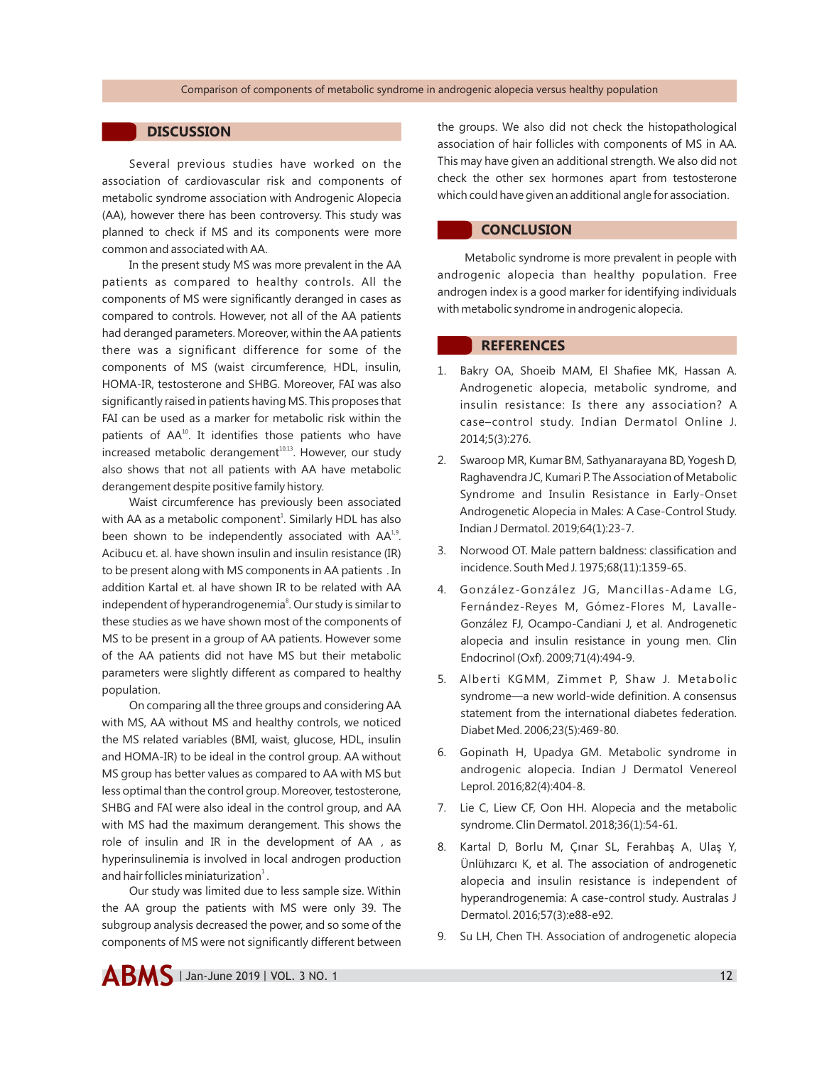## **DISCUSSION**

Several previous studies have worked on the association of cardiovascular risk and components of metabolic syndrome association with Androgenic Alopecia (AA), however there has been controversy. This study was planned to check if MS and its components were more common and associated with AA.

In the present study MS was more prevalent in the AA patients as compared to healthy controls. All the components of MS were significantly deranged in cases as compared to controls. However, not all of the AA patients had deranged parameters. Moreover, within the AA patients there was a significant difference for some of the components of MS (waist circumference, HDL, insulin, HOMA-IR, testosterone and SHBG. Moreover, FAI was also significantly raised in patients having MS. This proposes that FAI can be used as a marker for metabolic risk within the patients of AA<sup>10</sup>. It identifies those patients who have increased metabolic derangement<sup>10,13</sup>. However, our study also shows that not all patients with AA have metabolic derangement despite positive family history.

Waist circumference has previously been associated with AA as a metabolic component<sup>1</sup>. Similarly HDL has also been shown to be independently associated with  $AA<sup>1,9</sup>$ . Acibucu et. al. have shown insulin and insulin resistance (IR) to be present along with MS components in AA patients . In addition Kartal et. al have shown IR to be related with AA independent of hyperandrogenemia<sup>8</sup>. Our study is similar to these studies as we have shown most of the components of MS to be present in a group of AA patients. However some of the AA patients did not have MS but their metabolic parameters were slightly different as compared to healthy population.

On comparing all the three groups and considering AA with MS, AA without MS and healthy controls, we noticed the MS related variables (BMI, waist, glucose, HDL, insulin and HOMA-IR) to be ideal in the control group. AA without MS group has better values as compared to AA with MS but less optimal than the control group. Moreover, testosterone, SHBG and FAI were also ideal in the control group, and AA with MS had the maximum derangement. This shows the role of insulin and IR in the development of AA , as hyperinsulinemia is involved in local androgen production and hair follicles miniaturization $<sup>1</sup>$ .</sup>

Our study was limited due to less sample size. Within the AA group the patients with MS were only 39. The subgroup analysis decreased the power, and so some of the components of MS were not significantly different between the groups. We also did not check the histopathological association of hair follicles with components of MS in AA. This may have given an additional strength. We also did not check the other sex hormones apart from testosterone which could have given an additional angle for association.

## **CONCLUSION**

Metabolic syndrome is more prevalent in people with androgenic alopecia than healthy population. Free androgen index is a good marker for identifying individuals with metabolic syndrome in androgenic alopecia.

# **REFERENCES**

- 1. Bakry OA, Shoeib MAM, El Shafiee MK, Hassan A. Androgenetic alopecia, metabolic syndrome, and insulin resistance: Is there any association? A case–control study. Indian Dermatol Online J. 2014;5(3):276.
- 2. Swaroop MR, Kumar BM, Sathyanarayana BD, Yogesh D, Raghavendra JC, Kumari P. The Association of Metabolic Syndrome and Insulin Resistance in Early-Onset Androgenetic Alopecia in Males: A Case-Control Study. Indian J Dermatol. 2019;64(1):23-7.
- 3. Norwood OT. Male pattern baldness: classification and incidence. South Med J. 1975;68(11):1359-65.
- 4. González-González JG, Mancillas-Adame LG, Fernández-Reyes M, Gómez-Flores M, Lavalle-González FJ, Ocampo-Candiani J, et al. Androgenetic alopecia and insulin resistance in young men. Clin Endocrinol (Oxf). 2009;71(4):494-9.
- 5. Alberti KGMM, Zimmet P, Shaw J. Metabolic syndrome—a new world-wide definition. A consensus statement from the international diabetes federation. Diabet Med. 2006;23(5):469-80.
- 6. Gopinath H, Upadya GM. Metabolic syndrome in androgenic alopecia. Indian J Dermatol Venereol Leprol. 2016;82(4):404-8.
- 7. Lie C, Liew CF, Oon HH. Alopecia and the metabolic syndrome. Clin Dermatol. 2018;36(1):54-61.
- 8. Kartal D, Borlu M, Çınar SL, Ferahbaş A, Ulaş Y, Ünlühızarcı K, et al. The association of androgenetic alopecia and insulin resistance is independent of hyperandrogenemia: A case-control study. Australas J Dermatol. 2016;57(3):e88-e92.
- 9. Su LH, Chen TH. Association of androgenetic alopecia